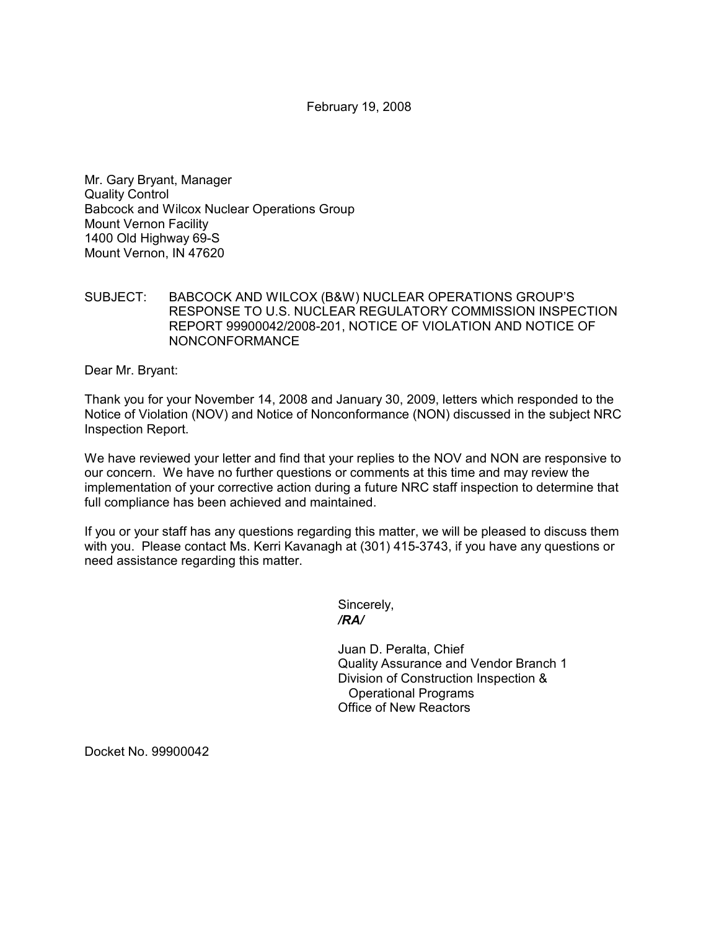February 19, 2008

Mr. Gary Bryant, Manager Quality Control Babcock and Wilcox Nuclear Operations Group Mount Vernon Facility 1400 Old Highway 69-S Mount Vernon, IN 47620

SUBJECT: BABCOCK AND WILCOX (B&W) NUCLEAR OPERATIONS GROUP'S RESPONSE TO U.S. NUCLEAR REGULATORY COMMISSION INSPECTION REPORT 99900042/2008-201, NOTICE OF VIOLATION AND NOTICE OF NONCONFORMANCE

Dear Mr. Bryant:

Thank you for your November 14, 2008 and January 30, 2009, letters which responded to the Notice of Violation (NOV) and Notice of Nonconformance (NON) discussed in the subject NRC Inspection Report.

We have reviewed your letter and find that your replies to the NOV and NON are responsive to our concern. We have no further questions or comments at this time and may review the implementation of your corrective action during a future NRC staff inspection to determine that full compliance has been achieved and maintained.

If you or your staff has any questions regarding this matter, we will be pleased to discuss them with you. Please contact Ms. Kerri Kavanagh at (301) 415-3743, if you have any questions or need assistance regarding this matter.

Sincerely,  */RA/* 

> Juan D. Peralta, Chief Quality Assurance and Vendor Branch 1 Division of Construction Inspection & Operational Programs Office of New Reactors

Docket No. 99900042